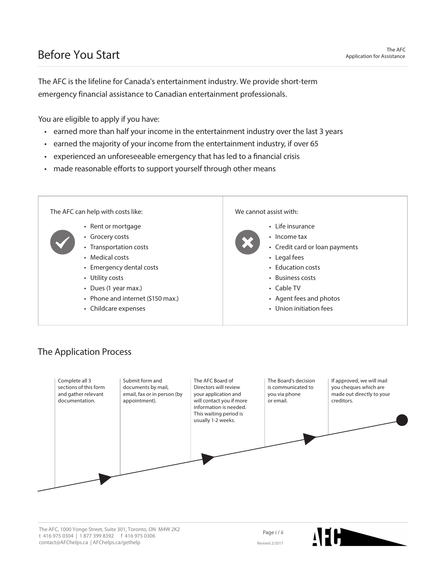#### Before You Start

The AFC is the lifeline for Canada's entertainment industry. We provide short-term emergency financial assistance to Canadian entertainment professionals.

You are eligible to apply if you have:

- earned more than half your income in the entertainment industry over the last 3 years
- earned the majority of your income from the entertainment industry, if over 65
- experienced an unforeseeable emergency that has led to a financial crisis
- made reasonable efforts to support yourself through other means



#### The Application Process



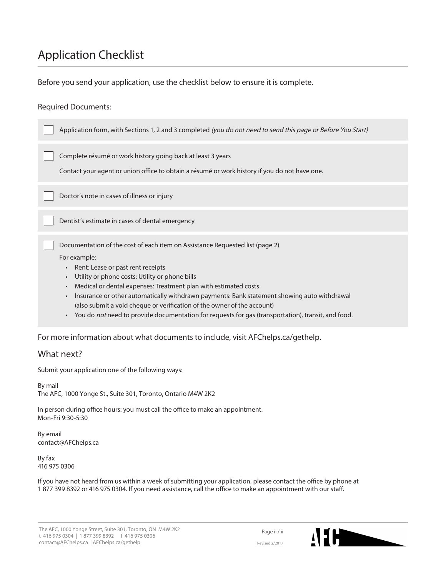# Application Checklist

Before you send your application, use the checklist below to ensure it is complete.

#### Required Documents:

| Application form, with Sections 1, 2 and 3 completed <i>(you do not need to send this page or Before You Start)</i>                                                                                                                                                                                                                                                                                                                                                                  |
|--------------------------------------------------------------------------------------------------------------------------------------------------------------------------------------------------------------------------------------------------------------------------------------------------------------------------------------------------------------------------------------------------------------------------------------------------------------------------------------|
| Complete résumé or work history going back at least 3 years<br>Contact your agent or union office to obtain a résumé or work history if you do not have one.                                                                                                                                                                                                                                                                                                                         |
| Doctor's note in cases of illness or injury                                                                                                                                                                                                                                                                                                                                                                                                                                          |
| Dentist's estimate in cases of dental emergency                                                                                                                                                                                                                                                                                                                                                                                                                                      |
| Documentation of the cost of each item on Assistance Requested list (page 2)<br>For example:<br>Rent: Lease or past rent receipts<br>$\bullet$<br>Utility or phone costs: Utility or phone bills<br>$\bullet$<br>Medical or dental expenses: Treatment plan with estimated costs<br>$\bullet$<br>Insurance or other automatically withdrawn payments: Bank statement showing auto withdrawal<br>$\bullet$<br>(also submit a void cheque or verification of the owner of the account) |

v You do not need to provide documentation for requests for gas (transportation), transit, and food.

For more information about what documents to include, visit AFChelps.ca/gethelp.

#### What next?

Submit your application one of the following ways:

By mail The AFC, 1000 Yonge St., Suite 301, Toronto, Ontario M4W 2K2

In person during office hours: you must call the office to make an appointment. Mon-Fri 9:30-5:30

By email contact@AFChelps.ca

By fax 416 975 0306

If you have not heard from us within a week of submitting your application, please contact the office by phone at 1 877 399 8392 or 416 975 0304. If you need assistance, call the office to make an appointment with our staff.

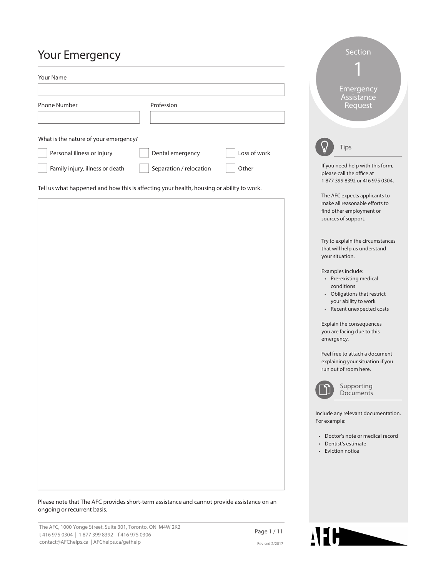# **Vour Emergency**

| <b>TUUL LITICIYETICY</b>                                                                 |                         |              |                                                                                                                    |
|------------------------------------------------------------------------------------------|-------------------------|--------------|--------------------------------------------------------------------------------------------------------------------|
| <b>Your Name</b>                                                                         |                         |              |                                                                                                                    |
| <b>Phone Number</b>                                                                      | Profession              |              | Emergency<br>Assistance<br>Request                                                                                 |
| What is the nature of your emergency?<br>Personal illness or injury                      | Dental emergency        | Loss of work | <b>Tips</b>                                                                                                        |
| Family injury, illness or death                                                          | Separation / relocation | Other        | If you need help with this form,<br>please call the office at<br>1877 399 8392 or 416 975 0304.                    |
| Tell us what happened and how this is affecting your health, housing or ability to work. |                         |              | The AFC expects applicants to<br>make all reasonable efforts to<br>find other employment or<br>sources of support. |
|                                                                                          |                         |              | Try to explain the circumstances<br>that will help us understand<br>your situation.                                |
|                                                                                          |                         |              | Examples include:                                                                                                  |

- $\cdot$  Pre-existing medical conditions
- Obligations that restrict your ability to work

Section

• Recent unexpected costs

Explain the consequences you are facing due to this emergency.

Feel free to attach a document explaining your situation if you run out of room here.



Supporting **Documents** 

Include any relevant documentation. For example:

- Doctor's note or medical record
- Dentist's estimate
- Eviction notice

Please note that The AFC provides short-term assistance and cannot provide assistance on an ongoing or recurrent basis.

The AFC, 1000 Yonge Street, Suite 301, Toronto, ON M4W 2K2 t 416 975 0304 | 1 877 399 8392 | f 416 975 0306 contact@AFChelps.ca | AFChelps.ca/gethelp

Page 1 / 11 Revised 2/2017

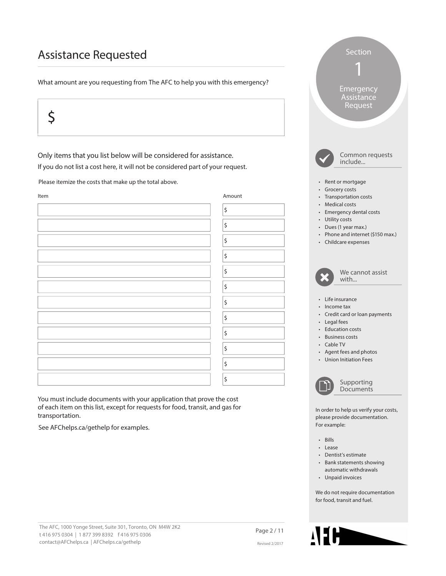#### Assistance Requested

What amount are you requesting from The AFC to help you with this emergency?

# $\zeta$

Only items that you list below will be considered for assistance. If you do not list a cost here, it will not be considered part of your request.

Please itemize the costs that make up the total above.



You must include documents with your application that prove the cost of each item on this list, except for requests for food, transit, and gas for transportation.

See AFChelps.ca/gethelp for examples.



• Bills

• Lease

For example:

- Dentist's estimate
- Bank statements showing automatic withdrawals

Section

1

Emergency Assistance Request

• Unpaid invoices

We do not require documentation for food, transit and fuel.

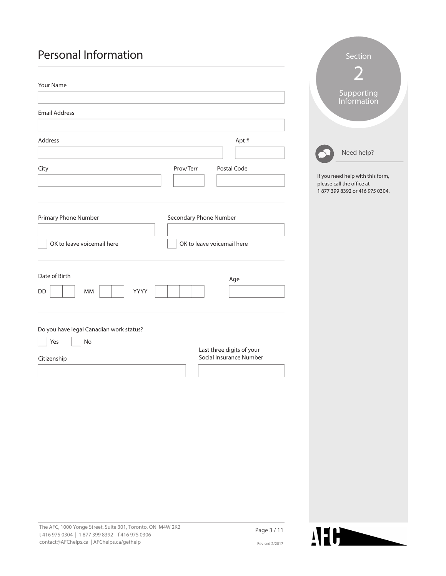### Personal Information

| Your Name                                                |                                                                                                 |
|----------------------------------------------------------|-------------------------------------------------------------------------------------------------|
|                                                          | Supporting<br>Information                                                                       |
| <b>Email Address</b>                                     |                                                                                                 |
|                                                          |                                                                                                 |
| Address<br>Apt#                                          |                                                                                                 |
|                                                          | Need help?                                                                                      |
| Prov/Terr<br>Postal Code<br>City                         | If you need help with this form,<br>please call the office at<br>1877 399 8392 or 416 975 0304. |
| Primary Phone Number<br>Secondary Phone Number           |                                                                                                 |
| OK to leave voicemail here<br>OK to leave voicemail here |                                                                                                 |
| Date of Birth                                            |                                                                                                 |
| Age<br>YYYY<br>DD<br>MM                                  |                                                                                                 |
| Do you have legal Canadian work status?                  |                                                                                                 |
| No<br>Yes<br>Last three digits of your                   |                                                                                                 |
| Social Insurance Number<br>Citizenship                   |                                                                                                 |
|                                                          |                                                                                                 |
|                                                          |                                                                                                 |
|                                                          |                                                                                                 |
|                                                          |                                                                                                 |
|                                                          |                                                                                                 |
|                                                          |                                                                                                 |
|                                                          |                                                                                                 |
|                                                          |                                                                                                 |
|                                                          |                                                                                                 |
|                                                          |                                                                                                 |
|                                                          |                                                                                                 |



Section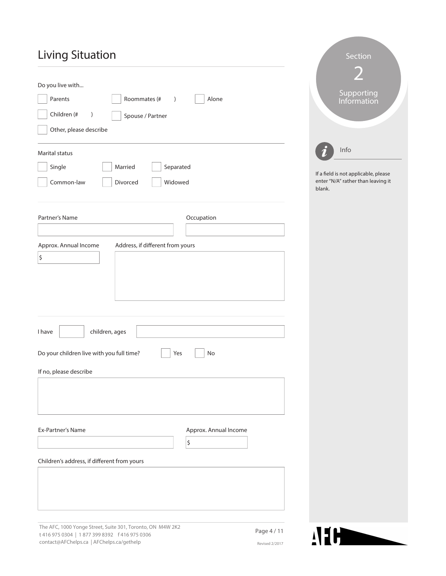# Living Situation

| <b>Living Situation</b>                                   | Section                                                                              |
|-----------------------------------------------------------|--------------------------------------------------------------------------------------|
| Do you live with                                          | Supporting                                                                           |
| Roommates (#<br>Parents<br>Alone<br>$\left( \right)$      | Information                                                                          |
| Children (#<br>$\big)$<br>Spouse / Partner                |                                                                                      |
| Other, please describe                                    |                                                                                      |
| Marital status                                            | Info                                                                                 |
| Single<br>Married<br>Separated                            |                                                                                      |
| Widowed<br>Common-law<br>Divorced                         | If a field is not applicable, please<br>enter "N/A" rather than leaving it<br>blank. |
| Partner's Name<br>Occupation                              |                                                                                      |
| Approx. Annual Income<br>Address, if different from yours |                                                                                      |
| $\vert$ \$                                                |                                                                                      |
| children, ages<br>I have                                  |                                                                                      |
| Do your children live with you full time?<br>Yes<br>No    |                                                                                      |
| If no, please describe                                    |                                                                                      |
|                                                           |                                                                                      |
| Ex-Partner's Name<br>Approx. Annual Income<br>\$          |                                                                                      |
| Children's address, if different from yours               |                                                                                      |
|                                                           |                                                                                      |
| The AEC 1000 Yonge Street Suite 301 Toronto ON M4W 2K2    |                                                                                      |

The AFC, 1000 Yonge Street, Suite 301, Toronto, ON M4W 2K2 t 416 975 0304 | 1 877 399 8392 f 416 975 0306 contact@AFChelps.ca | AFChelps.ca/gethelp

Page 4 / 11 Revised 2/2017

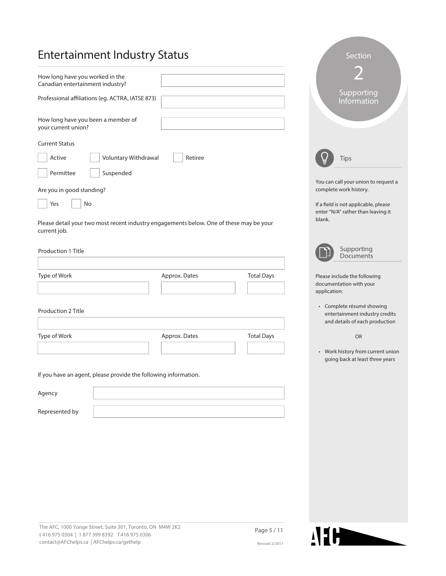| <b>Entertainment Industry Status</b>                                                                    |               |                   | Section                                                                                       |
|---------------------------------------------------------------------------------------------------------|---------------|-------------------|-----------------------------------------------------------------------------------------------|
| How long have you worked in the<br>Canadian entertainment industry?                                     |               |                   |                                                                                               |
| Professional affiliations (eg. ACTRA, IATSE 873)                                                        |               |                   | Supporting<br>Information                                                                     |
| How long have you been a member of<br>your current union?                                               |               |                   |                                                                                               |
| <b>Current Status</b>                                                                                   |               |                   |                                                                                               |
| Voluntary Withdrawal<br>Active                                                                          | Retiree       |                   | Tips                                                                                          |
| Suspended<br>Permittee                                                                                  |               |                   | You can call your union to request a                                                          |
| Are you in good standing?                                                                               |               |                   | complete work history.                                                                        |
| No<br>Yes                                                                                               |               |                   | If a field is not applicable, please<br>enter "N/A" rather than leaving it                    |
| Please detail your two most recent industry engagements below. One of these may be your<br>current job. |               |                   | blank.                                                                                        |
| Production 1 Title                                                                                      |               |                   | Supporting<br>Documents                                                                       |
| Type of Work                                                                                            | Approx. Dates | <b>Total Days</b> | Please include the following<br>documentation with your<br>application:                       |
| Production 2 Title                                                                                      |               |                   | • Complete résumé showing<br>entertainment industry credits<br>and details of each production |
| Type of Work                                                                                            | Approx. Dates | <b>Total Days</b> | <b>OR</b>                                                                                     |
|                                                                                                         |               |                   | Work history from current union<br>$\bullet$<br>going back at least three years               |
| If you have an agent, please provide the following information.                                         |               |                   |                                                                                               |
| Agency                                                                                                  |               |                   |                                                                                               |
| Represented by                                                                                          |               |                   |                                                                                               |
|                                                                                                         |               |                   |                                                                                               |
|                                                                                                         |               |                   |                                                                                               |
|                                                                                                         |               |                   |                                                                                               |
|                                                                                                         |               |                   |                                                                                               |
|                                                                                                         |               |                   |                                                                                               |
|                                                                                                         |               |                   |                                                                                               |
|                                                                                                         |               |                   |                                                                                               |

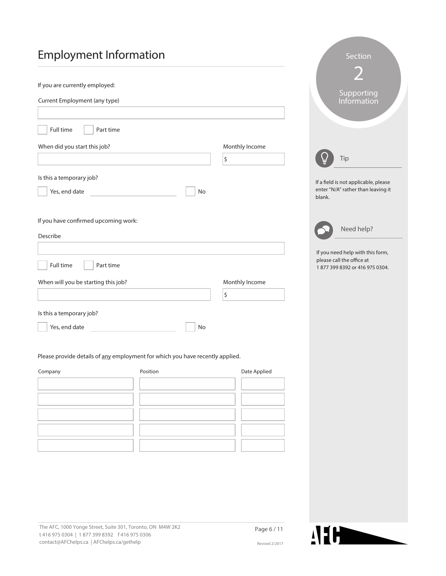# Employment Information

| If you are currently employed:                                                |                |                                                             |
|-------------------------------------------------------------------------------|----------------|-------------------------------------------------------------|
| Current Employment (any type)                                                 |                | Supporting<br>Information                                   |
|                                                                               |                |                                                             |
| Full time<br>Part time                                                        |                |                                                             |
| When did you start this job?                                                  | Monthly Income |                                                             |
|                                                                               | \$             | Tip                                                         |
| Is this a temporary job?                                                      |                | If a field is not applicable, please                        |
| Yes, end date<br>No                                                           |                | enter "N/A" rather than leaving it<br>blank.                |
|                                                                               |                |                                                             |
| If you have confirmed upcoming work:                                          |                | Need help?                                                  |
| Describe                                                                      |                |                                                             |
|                                                                               |                | If you need help with this form,                            |
| Full time<br>Part time                                                        |                | please call the office at<br>1877 399 8392 or 416 975 0304. |
| When will you be starting this job?                                           | Monthly Income |                                                             |
|                                                                               | \$             |                                                             |
| Is this a temporary job?                                                      |                |                                                             |
| Yes, end date<br>No                                                           |                |                                                             |
|                                                                               |                |                                                             |
| Please provide details of any employment for which you have recently applied. |                |                                                             |
| Company<br>Position                                                           | Date Applied   |                                                             |
|                                                                               |                |                                                             |
|                                                                               |                |                                                             |
|                                                                               |                |                                                             |
|                                                                               |                |                                                             |
|                                                                               |                |                                                             |
|                                                                               |                |                                                             |



Section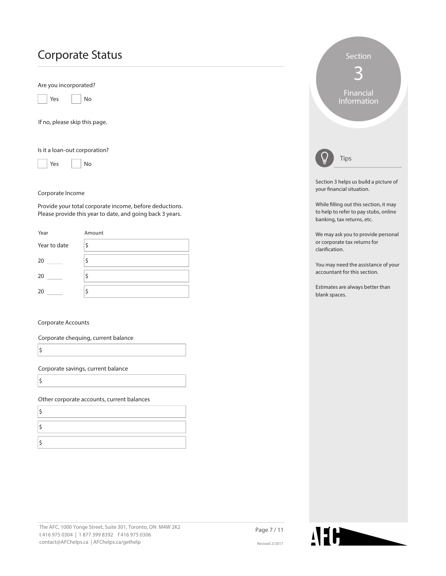### Corporate Status

Are you incorporated?



If no, please skip this page.

Is it a loan-out corporation?



Corporate Income

Provide your total corporate income, before deductions. Please provide this year to date, and going back 3 years.

| Year         | Amount |
|--------------|--------|
| Year to date | \$     |
| 20           |        |
| 20           | Φ      |
| 20           |        |

#### Corporate Accounts

Corporate chequing, current balance

Corporate savings, current balance

\$

 $\vert$ \$

Other corporate accounts, current balances

|                | Section<br>Financial<br><b>Information</b>                                                                    |
|----------------|---------------------------------------------------------------------------------------------------------------|
|                | Tips                                                                                                          |
|                | Section 3 helps us build a picture of<br>your financial situation.                                            |
|                | While filling out this section, it may<br>to help to refer to pay stubs, online<br>banking, tax returns, etc. |
| clarification. | We may ask you to provide personal<br>or corporate tax returns for                                            |
|                | You may need the assistance of your<br>accountant for this section.                                           |
| blank spaces.  | Estimates are always better than                                                                              |
|                |                                                                                                               |
|                |                                                                                                               |
|                |                                                                                                               |
|                |                                                                                                               |
|                |                                                                                                               |

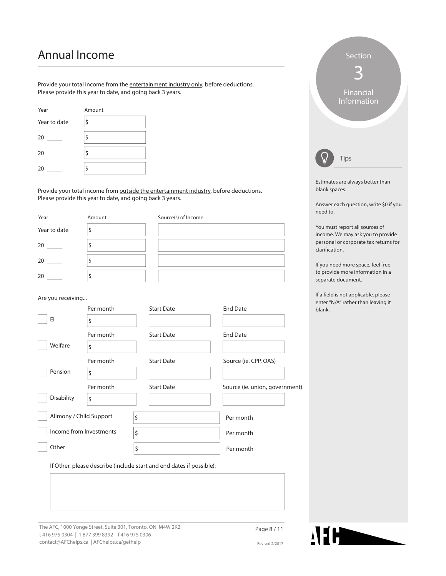#### Annual Income

Provide your total income from the entertainment industry only, before deductions. Please provide this year to date, and going back 3 years.

| Year         | Amount |
|--------------|--------|
| Year to date | \$     |
| 20           | \$     |
| 20           | \$     |
| 20           | \$     |

Provide your total income from **outside the entertainment industry**, before deductions. Please provide this year to date, and going back 3 years.

| Year              | Amount                                                               | Source(s) of Income |                       |                                |                                                                            |
|-------------------|----------------------------------------------------------------------|---------------------|-----------------------|--------------------------------|----------------------------------------------------------------------------|
| Year to date      | Ş                                                                    |                     |                       |                                | You must report all sources of<br>income. We may ask you to provide        |
|                   | \$                                                                   |                     |                       |                                | personal or corporate tax returns for<br>clarification.                    |
| 20                | \$                                                                   |                     |                       |                                | If you need more space, feel free                                          |
| 20                | \$                                                                   |                     |                       |                                | to provide more information in a<br>separate document.                     |
| Are you receiving |                                                                      |                     |                       |                                | If a field is not applicable, please<br>enter "N/A" rather than leaving it |
|                   | Per month                                                            | <b>Start Date</b>   | <b>End Date</b>       |                                | blank.                                                                     |
| E                 | \$                                                                   |                     |                       |                                |                                                                            |
|                   | Per month                                                            | <b>Start Date</b>   | <b>End Date</b>       |                                |                                                                            |
| Welfare           | \$                                                                   |                     |                       |                                |                                                                            |
|                   | Per month                                                            | <b>Start Date</b>   | Source (ie. CPP, OAS) |                                |                                                                            |
| Pension           | \$                                                                   |                     |                       |                                |                                                                            |
|                   | Per month                                                            | <b>Start Date</b>   |                       | Source (ie. union, government) |                                                                            |
| Disability        | \$                                                                   |                     |                       |                                |                                                                            |
|                   | Alimony / Child Support                                              | \$                  | Per month             |                                |                                                                            |
|                   | Income from Investments                                              | \$                  | Per month             |                                |                                                                            |
| Other             |                                                                      | \$                  | Per month             |                                |                                                                            |
|                   | If Other, please describe (include start and end dates if possible): |                     |                       |                                |                                                                            |
|                   |                                                                      |                     |                       |                                |                                                                            |

The AFC, 1000 Yonge Street, Suite 301, Toronto, ON M4W 2K2 t 416 975 0304 | 1 877 399 8392 f 416 975 0306 contact@AFChelps.ca | AFChelps.ca/gethelp



Estimates are always better than

Tips

Answer each question, write \$0 if you

Section

3

Financial Information

blank spaces.

need to.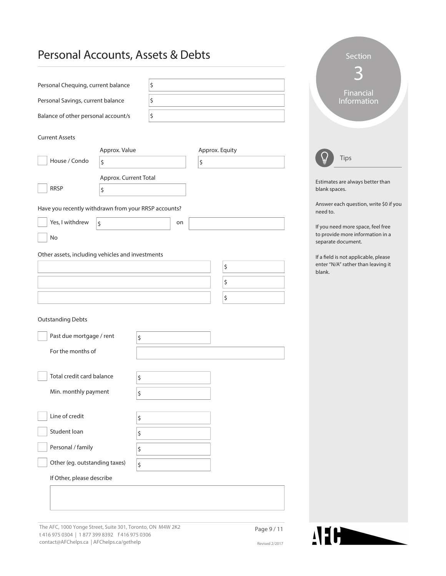#### Personal Accounts, Assets & Debts

| $\frac{1}{2}$                                                                              |                       |    |                      |                |          | <b>PECULIT</b>                                         |
|--------------------------------------------------------------------------------------------|-----------------------|----|----------------------|----------------|----------|--------------------------------------------------------|
|                                                                                            |                       |    |                      |                |          |                                                        |
| Personal Chequing, current balance<br>\$                                                   |                       |    |                      |                |          | <b>Financial</b>                                       |
| Personal Savings, current balance                                                          |                       | \$ |                      |                |          | Information                                            |
| Balance of other personal account/s                                                        |                       | \$ |                      |                |          |                                                        |
|                                                                                            |                       |    |                      |                |          |                                                        |
| <b>Current Assets</b>                                                                      |                       |    |                      |                |          |                                                        |
| House / Condo<br>\$                                                                        | Approx. Value         |    | Approx. Equity<br>\$ |                |          | Tips                                                   |
|                                                                                            |                       |    |                      |                |          |                                                        |
| <b>RRSP</b>                                                                                | Approx. Current Total |    |                      |                |          | Estimates are always better than                       |
| \$                                                                                         |                       |    |                      |                |          | blank spaces.                                          |
| Have you recently withdrawn from your RRSP accounts?                                       |                       |    |                      |                | need to. | Answer each question, write \$0 if you                 |
| Yes, I withdrew<br>\$                                                                      |                       | on |                      |                |          | If you need more space, feel free                      |
| No                                                                                         |                       |    |                      |                |          | to provide more information in a<br>separate document. |
| Other assets, including vehicles and investments                                           |                       |    |                      |                |          | If a field is not applicable, please                   |
|                                                                                            |                       |    |                      | \$             | blank.   | enter "N/A" rather than leaving it                     |
|                                                                                            |                       |    |                      | \$             |          |                                                        |
|                                                                                            |                       |    |                      | \$             |          |                                                        |
|                                                                                            |                       |    |                      |                |          |                                                        |
| <b>Outstanding Debts</b>                                                                   |                       |    |                      |                |          |                                                        |
| Past due mortgage / rent                                                                   | \$                    |    |                      |                |          |                                                        |
| For the months of                                                                          |                       |    |                      |                |          |                                                        |
|                                                                                            |                       |    |                      |                |          |                                                        |
| Total credit card balance                                                                  | \$                    |    |                      |                |          |                                                        |
| Min. monthly payment                                                                       | \$                    |    |                      |                |          |                                                        |
|                                                                                            |                       |    |                      |                |          |                                                        |
| Line of credit                                                                             | \$                    |    |                      |                |          |                                                        |
| Student loan                                                                               | \$                    |    |                      |                |          |                                                        |
| Personal / family                                                                          | \$                    |    |                      |                |          |                                                        |
| Other (eg. outstanding taxes)                                                              | \$                    |    |                      |                |          |                                                        |
| If Other, please describe                                                                  |                       |    |                      |                |          |                                                        |
|                                                                                            |                       |    |                      |                |          |                                                        |
|                                                                                            |                       |    |                      |                |          |                                                        |
|                                                                                            |                       |    |                      |                |          |                                                        |
| The AFC, 1000 Yonge Street, Suite 301, Toronto, ON M4W 2K2                                 |                       |    |                      | Page 9 / 11    |          |                                                        |
| t 416 975 0304   1877 399 8392 f 416 975 0306<br>contact@AFChelps.ca   AFChelps.ca/gethelp |                       |    |                      | Revised 2/2017 |          | <b>NEH</b>                                             |

Revised 2/2017



section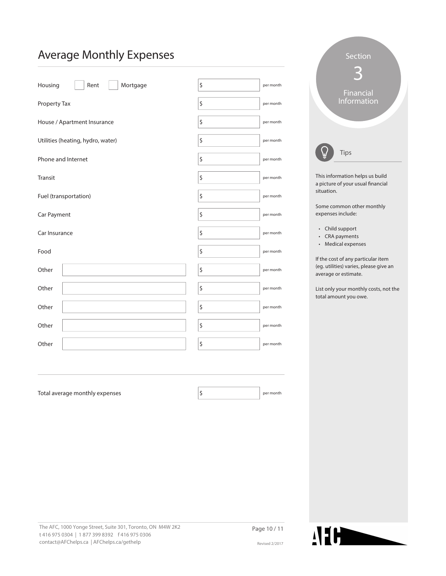#### Average Monthly Expenses

| Rent<br>Mortgage<br>Housing       | \$<br>per month |
|-----------------------------------|-----------------|
| Property Tax                      | \$<br>per month |
| House / Apartment Insurance       | \$<br>per month |
| Utilities (heating, hydro, water) | \$<br>per month |
| Phone and Internet                | \$<br>per month |
| Transit                           | \$<br>per month |
| Fuel (transportation)             | \$<br>per month |
| Car Payment                       | \$<br>per month |
| Car Insurance                     | \$<br>per month |
| Food                              | \$<br>per month |
| Other                             | \$<br>per month |
| Other                             | \$<br>per month |
| Other                             | \$<br>per month |
| Other                             | \$<br>per month |
| Other                             | \$<br>per month |
|                                   |                 |
|                                   |                 |
| Total average monthly expenses    | \$<br>per month |
|                                   |                 |
|                                   |                 |

| Section                                 |  |
|-----------------------------------------|--|
| Financial<br>Information                |  |
| Tips<br>This information helps us build |  |

a picture of your usual fnancial situation.

Some common other monthly expenses include:

- Child support
- $\cdot$  CRA payments
- Medical expenses

If the cost of any particular item (eg. utilities) varies, please give an average or estimate.

List only your monthly costs, not the total amount you owe.

The AFC, 1000 Yonge Street, Suite 301, Toronto, ON M4W 2K2 t 416 975 0304 | 1 877 399 8392 f 416 975 0306 contact@AFChelps.ca | AFChelps.ca/gethelp